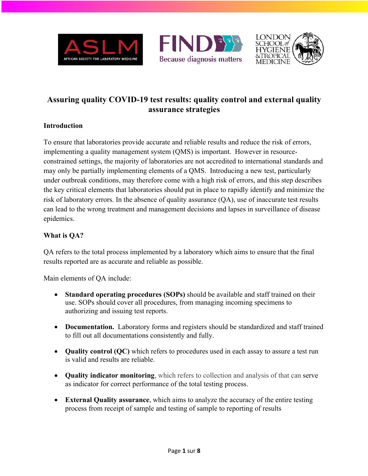





# **Assuring quality COVID-19 test results: quality control and external quality assurance strategies**

### **Introduction**

To ensure that laboratories provide accurate and reliable results and reduce the risk of errors, implementing a quality management system (QMS) is important. However in resourceconstrained settings, the majority of laboratories are not accredited to international standards and may only be partially implementing elements of a QMS. Introducing a new test, particularly under outbreak conditions, may therefore come with a high risk of errors, and this step describes the key critical elements that laboratories should put in place to rapidly identify and minimize the risk of laboratory errors. In the absence of quality assurance (QA), use of inaccurate test results can lead to the wrong treatment and management decisions and lapses in surveillance of disease epidemics.

## **What is QA?**

QA refers to the total process implemented by a laboratory which aims to ensure that the final results reported are as accurate and reliable as possible.

Main elements of QA include:

- **Standard operating procedures (SOPs)** should be available and staff trained on their use. SOPs should cover all procedures, from managing incoming specimens to authorizing and issuing test reports.
- **Documentation.** Laboratory forms and registers should be standardized and staff trained to fill out all documentations consistently and fully.
- **Quality control (QC)** which refers to procedures used in each assay to assure a test run is valid and results are reliable.
- **Quality indicator monitoring**, which refers to collection and analysis of that can serve as indicator for correct performance of the total testing process.
- **External Quality assurance**, which aims to analyze the accuracy of the entire testing process from receipt of sample and testing of sample to reporting of results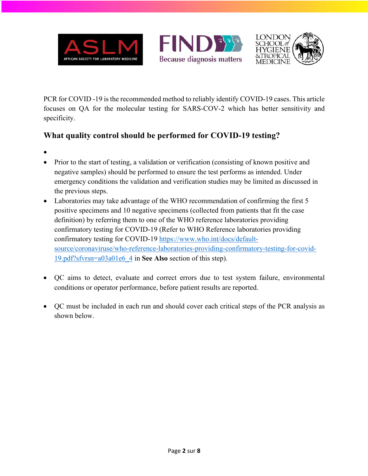





PCR for COVID -19 is the recommended method to reliably identify COVID-19 cases. This article focuses on QA for the molecular testing for SARS-COV-2 which has better sensitivity and specificity.

# **What quality control should be performed for COVID-19 testing?**

- •
- Prior to the start of testing, a validation or verification (consisting of known positive and negative samples) should be performed to ensure the test performs as intended. Under emergency conditions the validation and verification studies may be limited as discussed in the previous steps.
- Laboratories may take advantage of the WHO recommendation of confirming the first 5 positive specimens and 10 negative specimens (collected from patients that fit the case definition) by referring them to one of the WHO reference laboratories providing confirmatory testing for COVID-19 (Refer to WHO Reference laboratories providing confirmatory testing for COVID-19 https://www.who.int/docs/defaultsource/coronaviruse/who-reference-laboratories-providing-confirmatory-testing-for-covid-19.pdf?sfvrsn=a03a01e6\_4 in **See Also** section of this step).
- QC aims to detect, evaluate and correct errors due to test system failure, environmental conditions or operator performance, before patient results are reported.
- QC must be included in each run and should cover each critical steps of the PCR analysis as shown below.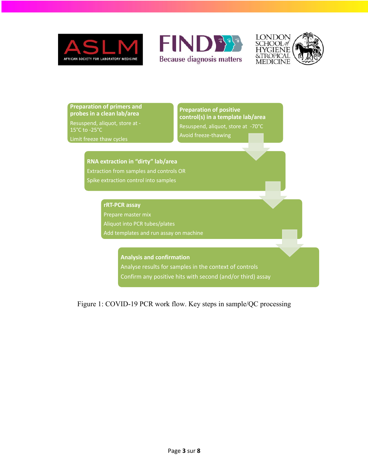





**Preparation of primers and probes in a clean lab/area** Resuspend, aliquot, store at - 15°C to -25°C

Limit freeze thaw cycles

### **Preparation of positive control(s) in a template lab/area** Resuspend, aliquot, store at -70°C Avoid freeze-thawing

#### **RNA extraction in "dirty" lab/area**

Extraction from samples and controls OR Spike extraction control into samples

#### **rRT-PCR assay**

Prepare master mix Aliquot into PCR tubes/plates Add templates and run assay on machine

> **Analysis and confirmation** Analyse results for samples in the context of controls Confirm any positive hits with second (and/or third) assay

Figure 1: COVID-19 PCR work flow. Key steps in sample/QC processing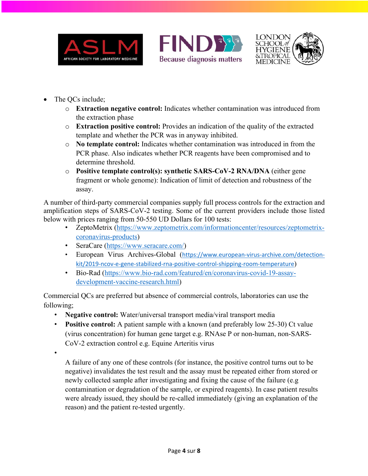





- The QCs include;
	- o **Extraction negative control:** Indicates whether contamination was introduced from the extraction phase
	- o **Extraction positive control:** Provides an indication of the quality of the extracted template and whether the PCR was in anyway inhibited.
	- o **No template control:** Indicates whether contamination was introduced in from the PCR phase. Also indicates whether PCR reagents have been compromised and to determine threshold.
	- o **Positive template control(s): synthetic SARS-CoV-2 RNA/DNA** (either gene fragment or whole genome): Indication of limit of detection and robustness of the assay.

A number of third-party commercial companies supply full process controls for the extraction and amplification steps of SARS-CoV-2 testing. Some of the current providers include those listed below with prices ranging from 50-550 UD Dollars for 100 tests:

- ZeptoMetrix (https://www.zeptometrix.com/informationcenter/resources/zeptometrixcoronavirus-products)
- SeraCare (https://www.seracare.com/)
- European Virus Archives-Global (https://www.european-virus-archive.com/detectionkit/2019-ncov-e-gene-stabilized-rna-positive-control-shipping-room-temperature)
- Bio-Rad (https://www.bio-rad.com/featured/en/coronavirus-covid-19-assaydevelopment-vaccine-research.html)

Commercial QCs are preferred but absence of commercial controls, laboratories can use the following;

- **Negative control:** Water/universal transport media/viral transport media
- **Positive control:** A patient sample with a known (and preferably low 25-30) Ct value (virus concentration) for human gene target e.g. RNAse P or non-human, non-SARS-CoV-2 extraction control e.g. Equine Arteritis virus

•

A failure of any one of these controls (for instance, the positive control turns out to be negative) invalidates the test result and the assay must be repeated either from stored or newly collected sample after investigating and fixing the cause of the failure (e.g contamination or degradation of the sample, or expired reagents). In case patient results were already issued, they should be re-called immediately (giving an explanation of the reason) and the patient re-tested urgently.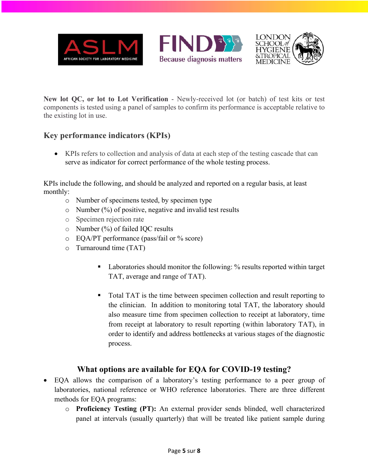





**New lot QC, or lot to Lot Verification** - Newly-received lot (or batch) of test kits or test components is tested using a panel of samples to confirm its performance is acceptable relative to the existing lot in use.

# **Key performance indicators (KPIs)**

• KPIs refers to collection and analysis of data at each step of the testing cascade that can serve as indicator for correct performance of the whole testing process.

KPIs include the following, and should be analyzed and reported on a regular basis, at least monthly:

- o Number of specimens tested, by specimen type
- $\circ$  Number (%) of positive, negative and invalid test results
- o Specimen rejection rate
- $\circ$  Number (%) of failed IQC results
- o EQA/PT performance (pass/fail or % score)
- o Turnaround time (TAT)
	- Laboratories should monitor the following: % results reported within target TAT, average and range of TAT).
	- Total TAT is the time between specimen collection and result reporting to the clinician. In addition to monitoring total TAT, the laboratory should also measure time from specimen collection to receipt at laboratory, time from receipt at laboratory to result reporting (within laboratory TAT), in order to identify and address bottlenecks at various stages of the diagnostic process.

## **What options are available for EQA for COVID-19 testing?**

- EQA allows the comparison of a laboratory's testing performance to a peer group of laboratories, national reference or WHO reference laboratories. There are three different methods for EQA programs:
	- o **Proficiency Testing (PT):** An external provider sends blinded, well characterized panel at intervals (usually quarterly) that will be treated like patient sample during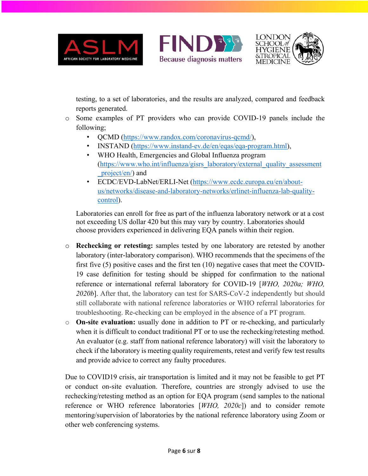





testing, to a set of laboratories, and the results are analyzed, compared and feedback reports generated.

- o Some examples of PT providers who can provide COVID-19 panels include the following;
	- OCMD (https://www.randox.com/coronavirus-qcmd/),
	- INSTAND (https://www.instand-ev.de/en/eqas/eqa-program.html),
	- WHO Health, Emergencies and Global Influenza program (https://www.who.int/influenza/gisrs\_laboratory/external\_quality\_assessment \_project/en/) and
	- ECDC/EVD-LabNet/ERLI-Net (https://www.ecdc.europa.eu/en/aboutus/networks/disease-and-laboratory-networks/erlinet-influenza-lab-qualitycontrol).

Laboratories can enroll for free as part of the influenza laboratory network or at a cost not exceeding US dollar 420 but this may vary by country. Laboratories should choose providers experienced in delivering EQA panels within their region.

- o **Rechecking or retesting:** samples tested by one laboratory are retested by another laboratory (inter-laboratory comparison). WHO recommends that the specimens of the first five (5) positive cases and the first ten (10) negative cases that meet the COVID-19 case definition for testing should be shipped for confirmation to the national reference or international referral laboratory for COVID-19 [*WHO, 2020a; WHO, 2020b*]. After that, the laboratory can test for SARS-CoV-2 independently but should still collaborate with national reference laboratories or WHO referral laboratories for troubleshooting. Re-checking can be employed in the absence of a PT program.
- o **On-site evaluation:** usually done in addition to PT or re-checking, and particularly when it is difficult to conduct traditional PT or to use the rechecking/retesting method. An evaluator (e.g. staff from national reference laboratory) will visit the laboratory to check if the laboratory is meeting quality requirements, retest and verify few test results and provide advice to correct any faulty procedures.

Due to COVID19 crisis, air transportation is limited and it may not be feasible to get PT or conduct on-site evaluation. Therefore, countries are strongly advised to use the rechecking/retesting method as an option for EQA program (send samples to the national reference or WHO reference laboratories [*WHO, 2020c*]) and to consider remote mentoring/supervision of laboratories by the national reference laboratory using Zoom or other web conferencing systems.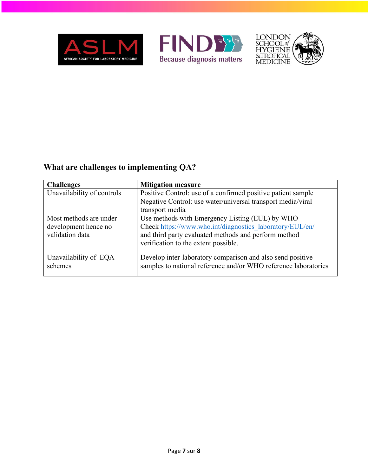





# **What are challenges to implementing QA?**

| <b>Challenges</b>          | <b>Mitigation measure</b>                                       |
|----------------------------|-----------------------------------------------------------------|
| Unavailability of controls | Positive Control: use of a confirmed positive patient sample    |
|                            | Negative Control: use water/universal transport media/viral     |
|                            | transport media                                                 |
| Most methods are under     | Use methods with Emergency Listing (EUL) by WHO                 |
| development hence no       | Check https://www.who.int/diagnostics laboratory/EUL/en/        |
| validation data            | and third party evaluated methods and perform method            |
|                            | verification to the extent possible.                            |
| Unavailability of EQA      | Develop inter-laboratory comparison and also send positive      |
| schemes                    | samples to national reference and/or WHO reference laboratories |